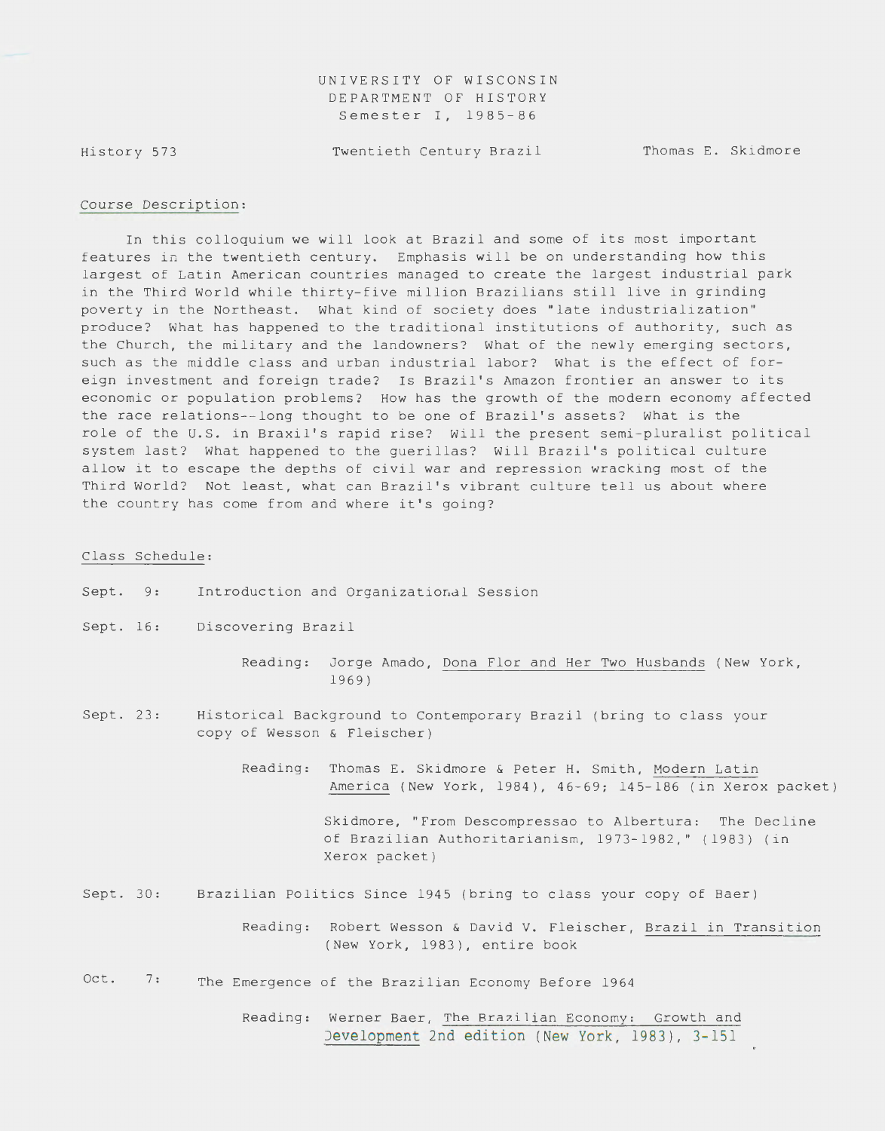UNIVERSITY OF WISCONSIN DEPARTMENT OF HISTORY Semester I, 1985-86

History 573

Twentieth Century Brazil Thomas E. Skidmore

#### Course Description:

In this colloquium we will look at Brazil and some of its most important features in the twentieth century. Emphasis will be on understanding how this largest of Latin American countries managed to create the largest industrial park in the Third World while thirty-five million Brazilians still live in grinding poverty in the Northeast. What kind of society does "late industrialization" produce? What has happened to the traditional institutions of authority, such as the Church, the military and the landowners? What of the newly emerging sectors, such as the middle class and urban industrial labor? What is the effect of foreign investment and foreign trade? Is Brazil's Amazon frontier an answer to its economic or population problems? How has the growth of the modern economy affected the race relations--long thought to be one of Brazil's assets? What is the role of the U.S. in Braxil's rapid rise? Will the present semi-pluralist political system last? What happened to the guerillas? Will Brazil's political culture allow it to escape the depths of civil war and repression wracking most of the Third World? Not least, what can Brazil's vibrant culture tell us about where the country has come from and where it's going?

#### Class Schedule:

- Sept. 9: Introduction and Organizational Session
- Sept. 16: Discovering Brazil
	- Reading: Jorge Amado, Dona Flor and Her Two Husbands (New York, 1969)
- Sept. 23: Historical Background to Contemporary Brazil (bring to class your copy of Wesson & Fleischer)
	- Reading: Thomas E. Skidmore & Peter H. Smith, Modern Latin America (New York, 1984), 46-69; 145-186 (in Xerox packet )

Skidmore, "From Descompressao to Albertura: The Decline of Brazilian Authoritarianism, 1973- 1982," (1983) ( in Xerox packet)

Sept. 30: Brazilian Politics Since 1945 (bring to class your copy of Baer)

> Reading: Robert Wesson & David V. Fleischer, Brazil in Transition (New York, 1983), entire book

- Oct. 7: The Emergence of the Brazilian Economy Before 1964
	- Reading: Werner Baer, The Brazilian Economy: Growth and Development 2nd edition (New York, 1983), 3-151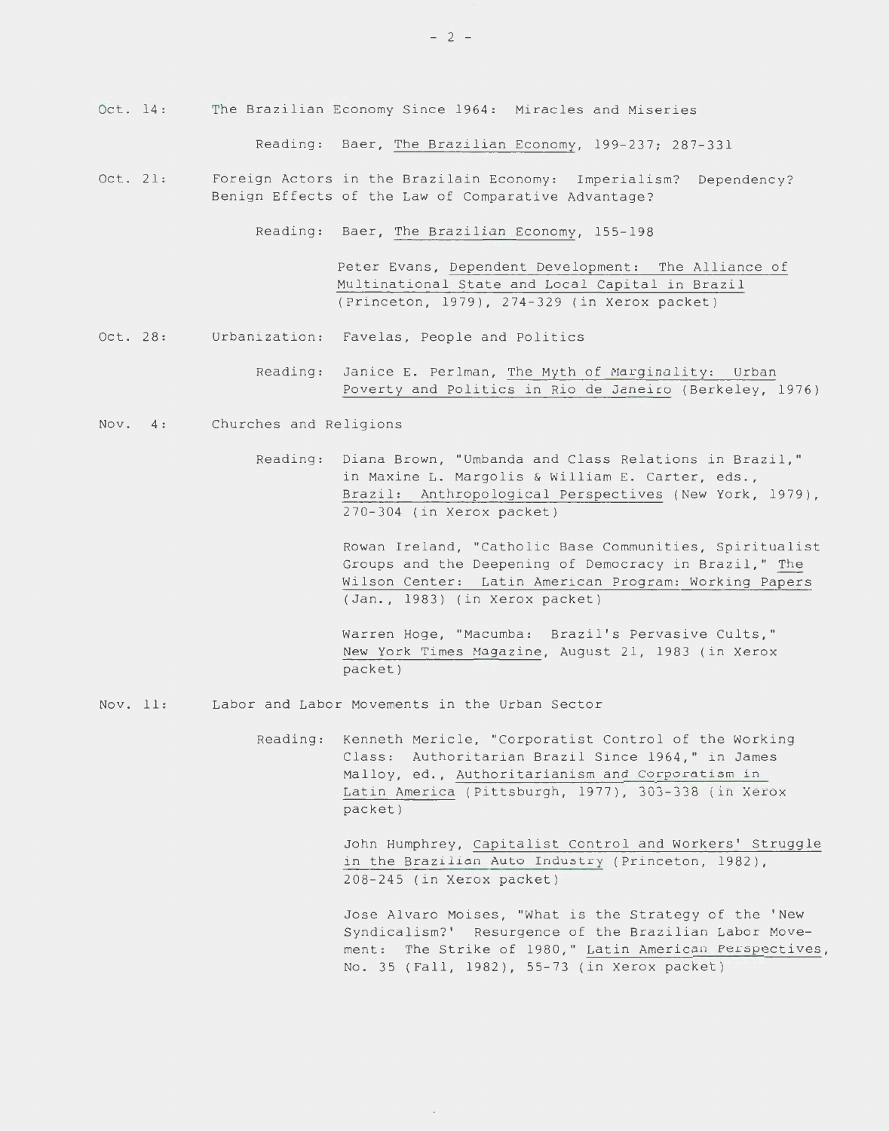Oct. 14: The Brazilian Economy Since 1964: Miracles and Miseries

Reading: Baer, The Brazilian Economy, 199-237; 287-331

Oct. 21: Foreign Actors in the Brazilain Economy: Imperialism? Dependency? Benign Effects of the Law of Comparative Advantage?

Reading: Baer, The Brazilian Economy, 155-198

Peter Evans, Dependent Development: The Alliance of Multinational State and Local Capital in Brazil (Princeton, 1979), 274-329 (in Xerox packet)

- Oct. 28: Urbanization: Favelas, People and Politics
	- Reading: Janice E. Perlman, The Myth of Marginality: Urban Poverty and Politics in Rio de Janeiro (Berkeley, 1976)
- Nov. 4: Churches and Religions
	- Reading: Diana Brown, "Umbanda and Class Relations in Brazil," in Maxine L. Margolis & William E. Carter, eds., Brazil: Anthropological Perspectives (New York, 1979), 270-304 (in Xerox packet)

Rowan Ireland, "Catholic Base Communities, Spiritualist Groups and the Deepening of Democracy in Brazil," The Wilson Center: Latin American Program: Working Papers (Jan., 1983) (in Xerox packet)

Warren Hoge, "Macumba: Brazil's Pervasive Cults," New York Times Magazine, August 21, 1983 (in Xerox packet)

Nov. 11: Labor and Labor Movements in the Urban Sector

> Reading: Kenneth Mericle, "Corporatist Control of the Working Class: Authoritarian Brazil Since 1964," in James Malloy, ed., Authoritarianism and Corporatism in Latin America (Pittsburgh, 1977), 303-338 (in Xerox packet)

> > John Humphrey, Capitalist Control and Workers' Struggle in the Brazilian Auto Industry (Princeton, 1982), 208-245 (in Xerox packet)

Jose Alvaro Moises, "What is the Strategy of the 'New Syndicalism?' Resurgence of the Brazilian Labor Movement: The Strike of 1980," Latin American Perspectives, No. 35 (Fall, 1982), 55-73 (in Xerox packet)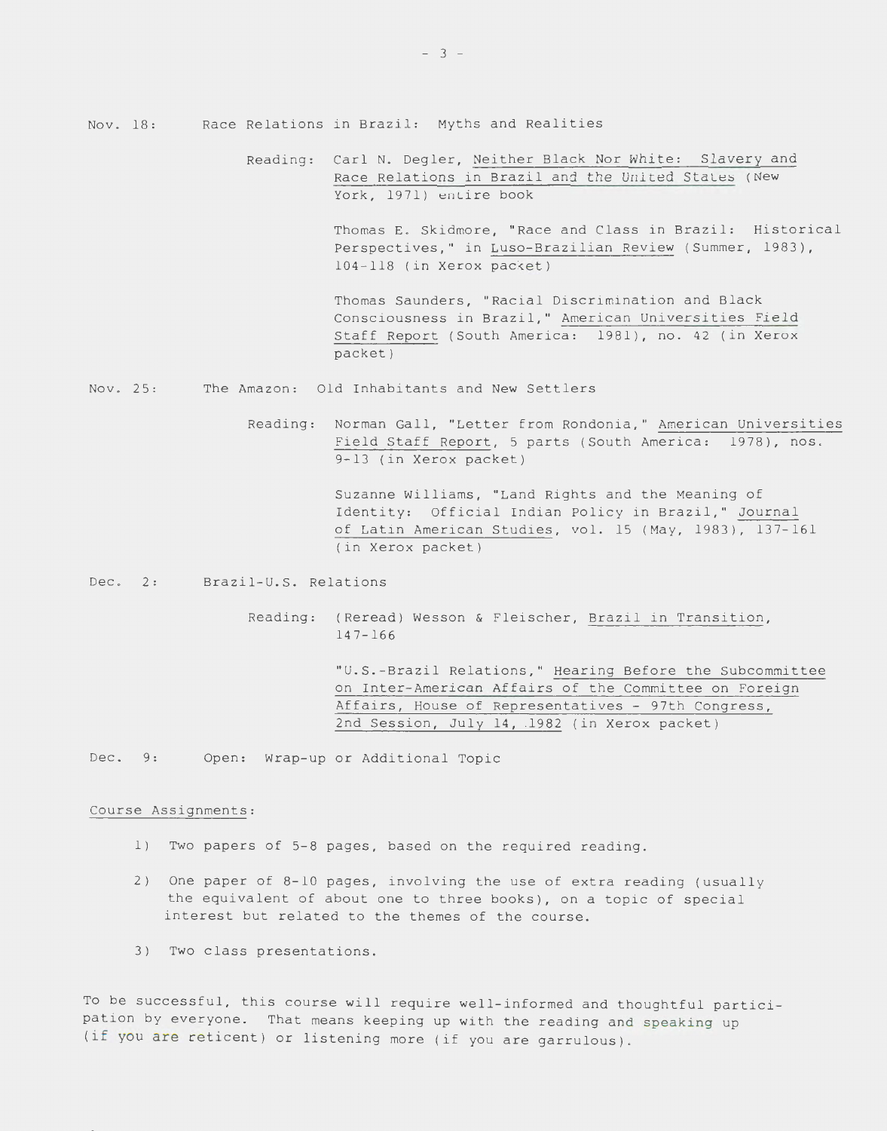Reading: Carl N. Degler, Neither Black Nor White: Slavery and Race Relations in Brazil and the United States (New York, 1971) entire book

> Thomas E. Skidmore, "Race and Class in Brazil: Historical Perspectives," in Luso-Brazilian Review (Summer, 1983), 104-118 (in Xerox packet)

Thomas Saunders, "Racial Discrimination and Black Consciousness in Brazil," American Universities Field Staff Report (South America: 1981), no. 42 (in Xerox packet)

- Nov. 25: The Amazon: Old Inhabitants and New Settlers
	- Reading: Norman Gall, "Letter from Rondonia," American Universities Field Staff Report, 5 parts (South America: 1978), nos. 9-13 (in Xerox packet)

Suzanne Williams, "Land Rights and the Meaning of Identity: Official Indian Policy in Brazil," Journal of Latin American Studies, val. 15 (May, 1983), 137-161 (in Xerox packet)

Dec. 2: Brazil-U.S. Relations

Reading: (Reread) Wesson & Fleischer, Brazil in Transition, 14 7-166

> "U.S.-Brazil Relations," Hearing Before the Subcommittee on Inter-American Affairs of the Committee on Foreign Affairs, House of Representatives - 97th Congress, 2nd Session, July 14, .1982 (in Xerox packet)

Dec. 9: Open: Wrap-up or Additional Topic

### Course Assignments:

- 1) Two papers of 5-8 pages, based on the required reading.
- 2) One paper of 8-10 pages, involving the use of extra reading (usually the equivalent of about one to three books), on a topic of special interest but related to the themes of the course.
- 3) Two class presentations.

To be successful, this course will require well-informed and thoughtful participation by everyone. That means keeping up with the reading and speaking up (if you are reticent) or listening more (if you are garrulous).